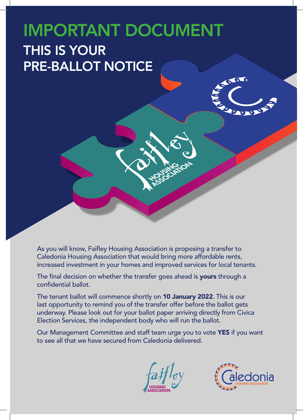## IMPORTANT DOCUMENT THIS IS YOUR PRE-BALLOT NOTICE

As you will know, Faifley Housing Association is proposing a transfer to Caledonia Housing Association that would bring more affordable rents, increased investment in your homes and improved services for local tenants.

The final decision on whether the transfer goes ahead is yours through a confidential ballot.

The tenant ballot will commence shortly on 10 January 2022. This is our last opportunity to remind you of the transfer offer before the ballot gets underway. Please look out for your ballot paper arriving directly from Civica Election Services, the independent body who will run the ballot.

Our Management Committee and staff team urge you to vote YES if you want to see all that we have secured from Caledonia delivered.



 $\mathbf{v}_1$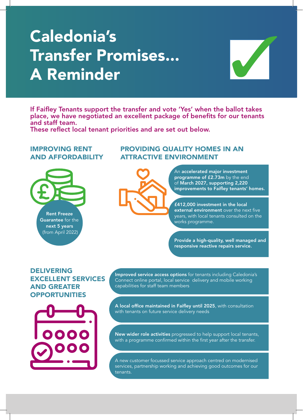# Caledonia's Transfer Promises... A Reminder



If Faifley Tenants support the transfer and vote 'Yes' when the ballot takes place, we have negotiated an excellent package of benefits for our tenants and staff team.

These reflect local tenant priorities and are set out below.

### IMPROVING RENT AND AFFORDABILITY



## PROVIDING QUALITY HOMES IN AN ATTRACTIVE ENVIRONMENT



An accelerated major investment programme of £2.73m by the end of March 2027, supporting 2,220 improvements to Faifley tenants' homes.

£412,000 investment in the local external environment over the next five years, with local tenants consulted on the works programme.

Provide a high-quality, well managed and responsive reactive repairs service.

### DELIVERING EXCELLENT SERVICES AND GREATER **OPPORTUNITIES**



Improved service access options for tenants including Caledonia's Connect online portal, local service delivery and mobile working capabilities for staff team members

A local office maintained in Faifley until 2025, with consultation with tenants on future service delivery needs

New wider role activities progressed to help support local tenants, with a programme confirmed within the first year after the transfer.

A new customer focussed service approach centred on modernised services, partnership working and achieving good outcomes for our tenants.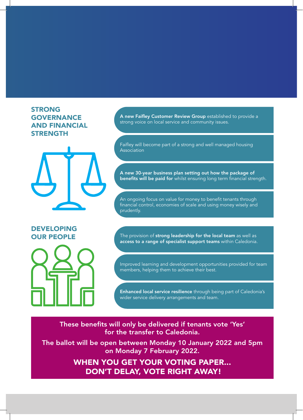## STRONG GOVERNANCE AND FINANCIAL STRENGTH



## DEVELOPING



A new Faifley Customer Review Group established to provide a strong voice on local service and community issues.

Faifley will become part of a strong and well managed housing Association

A new 30-year business plan setting out how the package of benefits will be paid for whilst ensuring long term financial strength.

An ongoing focus on value for money to benefit tenants through financial control, economies of scale and using money wisely and prudently.

OUR PEOPLE The provision of strong leadership for the local team as well as access to a range of specialist support teams within Caledonia.

> Improved learning and development opportunities provided for team members, helping them to achieve their best.

Enhanced local service resilience through being part of Caledonia's wider service delivery arrangements and team.

These benefits will only be delivered if tenants vote 'Yes' for the transfer to Caledonia.

The ballot will be open between Monday 10 January 2022 and 5pm on Monday 7 February 2022.

> WHEN YOU GET YOUR VOTING PAPER... DON'T DELAY, VOTE RIGHT AWAY!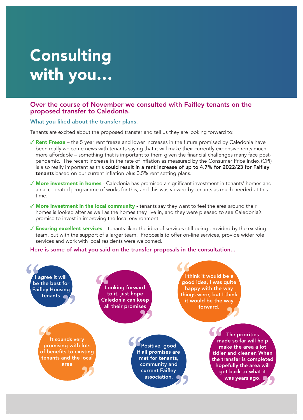## Consulting with you…

#### Over the course of November we consulted with Faifley tenants on the proposed transfer to Caledonia.

#### What you liked about the transfer plans.

Tenants are excited about the proposed transfer and tell us they are looking forward to:

- $\checkmark$  Rent Freeze the 5 year rent freeze and lower increases in the future promised by Caledonia have been really welcome news with tenants saying that it will make their currently expensive rents much more affordable – something that is important to them given the financial challenges many face postpandemic. The recent increase in the rate of inflation as measured by the Consumer Price Index (CPI) is also really important as this could result in a rent increase of up to 4.7% for 2022/23 for Faifley tenants based on our current inflation plus 0.5% rent setting plans.
- $\checkmark$  More investment in homes Caledonia has promised a significant investment in tenants' homes and an accelerated programme of works for this, and this was viewed by tenants as much needed at this time.
- $\sqrt{2}$  More investment in the local community tenants say they want to feel the area around their homes is looked after as well as the homes they live in, and they were pleased to see Caledonia's promise to invest in improving the local environment.
- $\checkmark$  Ensuring excellent services tenants liked the idea of services still being provided by the existing team, but with the support of a larger team. Proposals to offer on-line services, provide wider role services and work with local residents were welcomed.

Here is some of what you said on the transfer proposals in the consultation...

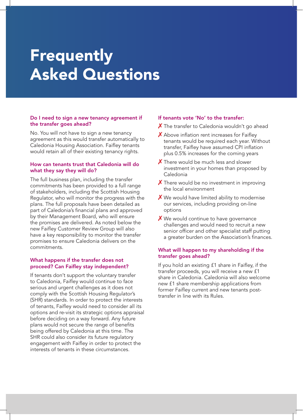## **Frequently** Asked Questions

#### Do I need to sign a new tenancy agreement if the transfer goes ahead?

No. You will not have to sign a new tenancy agreement as this would transfer automatically to Caledonia Housing Association. Faifley tenants would retain all of their existing tenancy rights.

#### How can tenants trust that Caledonia will do what they say they will do?

The full business plan, including the transfer commitments has been provided to a full range of stakeholders, including the Scottish Housing Regulator, who will monitor the progress with the plans. The full proposals have been detailed as part of Caledonia's financial plans and approved by their Management Board, who will ensure the promises are delivered. As noted below the new Faifley Customer Review Group will also have a key responsibility to monitor the transfer promises to ensure Caledonia delivers on the commitments.

#### What happens if the transfer does not proceed? Can Faifley stay independent?

If tenants don't support the voluntary transfer to Caledonia, Faifley would continue to face serious and urgent challenges as it does not comply with the Scottish Housing Regulator's (SHR) standards. In order to protect the interests of tenants, Faifley would need to consider all its options and re-visit its strategic options appraisal before deciding on a way forward. Any future plans would not secure the range of benefits being offered by Caledonia at this time. The SHR could also consider its future regulatory engagement with Faifley in order to protect the interests of tenants in these circumstances.

#### If tenants vote 'No' to the transfer:

- $\chi$  The transfer to Caledonia wouldn't go ahead
- $\boldsymbol{\times}$  Above inflation rent increases for Faifley tenants would be required each year. Without transfer, Faifley have assumed CPI inflation plus 0.5% increases for the coming years
- X There would be much less and slower investment in your homes than proposed by Caledonia
- X There would be no investment in improving the local environment
- $\boldsymbol{X}$  We would have limited ability to modernise our services, including providing on-line options
- $\boldsymbol{X}$  We would continue to have governance challenges and would need to recruit a new senior officer and other specialist staff putting a greater burden on the Association's finances.

#### What will happen to my shareholding if the transfer goes ahead?

If you hold an existing £1 share in Faifley, if the transfer proceeds, you will receive a new £1 share in Caledonia. Caledonia will also welcome new £1 share membership applications from former Faifley current and new tenants posttransfer in line with its Rules.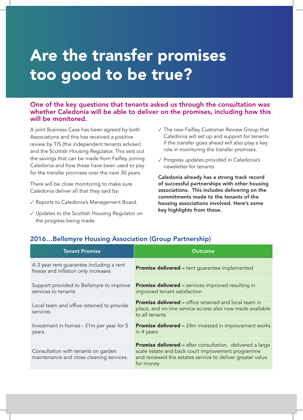## Are the transfer promises too good to be true?

### One of the key questions that tenants asked us through the consultation was whether Caledonia will be able to deliver on the promises, including how this will be monitored.

A joint Business Case has been agreed by both Associations and this has received a positive review by TIS (the independent tenants adviser) and the Scottish Housing Regulator. This sets out the savings that can be made from Faifley joining Caledonia and how these have been used to pay for the transfer promises over the next 30 years.

There will be close monitoring to make sure Caledonia deliver all that they said by:

- ✔ Reports to Caledonia's Management Board.
- ✔ Updates to the Scottish Housing Regulator on the progress being made.
- $\checkmark$  The new Faifley Customer Review Group that Caledonia will set up and support for tenants if the transfer goes ahead will also play a key role in monitoring the transfer promises.
- ✔ Progress updates provided in Caledonia's newsletter for tenants

Caledonia already has a strong track record of successful partnerships with other housing associations. This includes delivering on the commitments made to the tenants of the housing associations involved. Here's some key highlights from these.

| <b>Tenant Promise</b>                                                           | Outcome                                                                                                                                                                                         |
|---------------------------------------------------------------------------------|-------------------------------------------------------------------------------------------------------------------------------------------------------------------------------------------------|
| A 3 year rent guarantee including a rent<br>freeze and inflation only increases | <b>Promise delivered - rent guarantee implemented</b>                                                                                                                                           |
| Support provided to Bellsmyre to improve<br>services to tenants                 | <b>Promise delivered - services improved resulting in</b><br>improved tenant satisfaction                                                                                                       |
| Local team and office retained to provide<br>services                           | <b>Promise delivered - office retained and local team in</b><br>place, and on-line service access also now made available<br>to all tenants                                                     |
| Investment in homes - £1m per year for 5<br>years                               | <b>Promise delivered - f4m invested in improvement works</b><br>in 4 years                                                                                                                      |
| Consultation with tenants on garden<br>maintenance and close cleaning services. | <b>Promise delivered - after consultation, delivered a large</b><br>scale estate and back court improvement programme<br>and reviewed the estates service to deliver greater value<br>for money |

### 2016…Bellsmyre Housing Association (Group Partnership)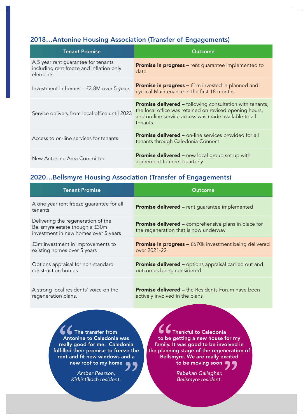### 2018…Antonine Housing Association (Transfer of Engagements)

| <b>Tenant Promise</b>                                                                       | Outcome                                                                                                                                                                                       |
|---------------------------------------------------------------------------------------------|-----------------------------------------------------------------------------------------------------------------------------------------------------------------------------------------------|
| A 5 year rent guarantee for tenants<br>including rent freeze and inflation only<br>elements | <b>Promise in progress - rent guarantee implemented to</b><br>date                                                                                                                            |
| Investment in homes - £3.8M over 5 years                                                    | <b>Promise in progress –</b> £1m invested in planned and<br>cyclical Maintenance in the first 18 months                                                                                       |
| Service delivery from local office until 2023                                               | <b>Promise delivered –</b> following consultation with tenants,<br>the local office was retained on revised opening hours,<br>and on-line service access was made available to all<br>tenants |
| Access to on-line services for tenants                                                      | <b>Promise delivered - on-line services provided for all</b><br>tenants through Caledonia Connect                                                                                             |
| New Antonine Area Committee                                                                 | <b>Promise delivered -</b> new local group set up with<br>agreement to meet quarterly                                                                                                         |

### 2020…Bellsmyre Housing Association (Transfer of Engagements)

| <b>Tenant Promise</b>                                                                                        | Outcome                                                                                              |
|--------------------------------------------------------------------------------------------------------------|------------------------------------------------------------------------------------------------------|
| A one year rent freeze quarantee for all<br>tenants                                                          | <b>Promise delivered - rent guarantee implemented</b>                                                |
| Delivering the regeneration of the<br>Bellsmyre estate though a £30m<br>investment in new homes over 5 years | <b>Promise delivered -</b> comprehensive plans in place for<br>the regeneration that is now underway |
| f3m investment in improvements to                                                                            | <b>Promise in progress -</b> £670k investment being delivered                                        |
| existing homes over 5 years                                                                                  | over 2021-22                                                                                         |
| Options appraisal for non-standard                                                                           | <b>Promise delivered -</b> options appraisal carried out and                                         |
| construction homes                                                                                           | outcomes being considered                                                                            |
| A strong local residents' voice on the                                                                       | <b>Promise delivered –</b> the Residents Forum have been                                             |
| regeneration plans.                                                                                          | actively involved in the plans                                                                       |

The transfer from Antonine to Caledonia was really good for me. Caledonia fulfilled their promise to freeze the rent and fit new windows and a new roof to my home

> *Amber Pearson, Kirkintilloch resident.*

Thankful to Caledonia to be getting a new house for my family. It was good to be involved in the planning stage of the regeneration of Bellsmyre. We are really excited to be moving soon

> *Rebekah Gallagher, Bellsmyre resident.*